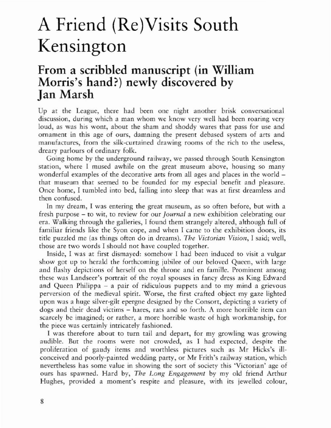## A Friend (Re)Visits South Kensington

## From a scribbled manuscript (in William Morris's hand?) newly discovered by Jan Marsh

Up at the League, there had been one night another brisk conversational discussion, during which a man whom we know very well had been roaring very loud, as was his wont, about the sham and shoddy wares that pass for use and ornament in this age of ours, damning the present debased system of arts and manufactures, from rhe silk-curtained drawing rooms of the rich to the useless, dreary parlours of ordinary folk.

Going home by the underground railway, we passed through South Kensington station, where I mused awhile on the great museum above, housing so many wonderful examples of the decorative arts from all ages and places in the world – that museum that seemed to be founded for my especial benefit and pleasure. Once home, I rumbled into bed. falling into sleep that was at first dreamless and then confused.

In my dream, I was emering the great museum, as so often before, but with a fresh purpose - to wit, to review for our *journal* a new exhibition celebrating our era. Walking rhrough rhe galleries, I found them strangely altered, although full of familiar friends like the Syon cope, and when I came to the exhibition doors, its title puzzled me (as things often do in dreams). *The Victorian Vision,* I said; well, those are two words I should not have coupled together.

Inside, I was at first dismayed: somehow I had been induced to visit a vulgar show got up to herald the forthcoming jubilee of our beloved Queen, with large and flashy depictions of herself on the throne and en famille. Prominent among these was Landseer's portrait of the royal spouses in fancy dress as King Edward and Queen Philippa - a pair of ridiculous puppets and to my mind a grievous perversion of the medieval spirit. Worse, the first crafted object my gaze lighted upon was a huge silver-gilt epergne designed by the Consort, depicting a variety of dogs and their dead victims - hares, rats and so forth. A more horrible item can scarcely be imagined; or rather, a more horrible waste of high workmanship, for the piece was certainly intricately fashioned.

I was therefore about to turn tail and depart, for my growling was growing audible. But the rooms were nor crowded, as I had expected, despite the proliferation of gaudy items and worrhless pictures such as Mr Hicks's illconceived and poorly-painted wedding parry, or Mr Frith's railway station, which nevertheless has some value in showing the sort of society this 'Victorian' age of ours has spawned. Hard by, *The Long Engagement* by my old friend Arthur Hughes, provided a moment's respite and pleasure, with irs jewelled colour,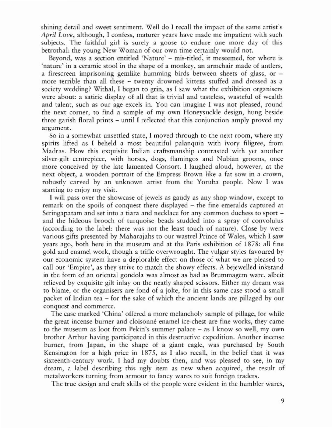shining detail and sweet sentiment. Well do I recall the impact of the same artist's *April Love,* although, I confess, maturer years have made me impatient with such subjects. The faithful girl is surely a goose to endure one more day of this betrothal: the young New Woman of our own time certainly would not.

Beyond, was a section entitled 'Nature' - mis-titled, it meseemed, for where is 'nature' in a ceramic stool in the shape of a monkey, an armchair made of antlers, a firescreen imprisoning gemlike humming birds between sheets of glass, or more terrible than all these - twenty drowned kittens stuffed and dressed as a society wedding? Withal, 1 began to grin, as I saw what the exhibition organisers were about: a satiric display of all that is trivial and tasteless, wasteful of wealth and talent, such as our age excels in. You can imagine I was not pleased, round the next corner, to find a sample of my own Honeysuckle design, hung beside three garish floral prints - until I reflected that this conjunction amply proved my argument.

So in a somewhat unsettled state, I moved through to the next room, where my spirits lifted as I beheld a most beautiful palanquin with ivory filigree, from Madras. How this exquisite Indian craftsmanship contrasted with yet another silver-gilt centrepiece, with horses, dogs, flamingos and Nubian grooms, once more conceived by the late lamented Consort. I laughed aloud, however, at the next object, a wooden portrait of the Empress Brown like a fat sow in a crown, robustly carved by an unknown artist from the Yoruba people. Now I was starting to enloy my visit.

I will pass over the showcase of jewels as gaudy as any shop window, except to remark on the spoils of conquest there displayed - the fine emeralds captured at Seringapatam and set into a tiara and necklace for any common duchess to sport and the hideous brooch of turquoise beads studded into a spray of convolulus (according to the label: there was nor the least touch of nature). Close by were various gifts presented by Maharajahs to our wastrel Prince of Wales, which I saw years ago, both here in the museum and at the Paris exhibition of 1878: all fine gold and enamel work, though a trifle overwrought. The vulgar styles favoured by our economic system have a deplorable effect on those of what we arc pleased to call our 'Empire', as they strive to match the showy effects. A bejewelled inkstand in the form of an oriental gondola was almost as bad as Brummagem ware, albeit relieved by exquisite gilt inlay on the neatly shaped scissors. Either my dream was to blame, or the organisers are fond of a joke, for in this same case stood a small packet of lndian tea - for the sake of which the ancient lands are pillaged by our conquest and commerce.

The case marked 'China' offered a more melancholy sample of pillage, for while the great incense burner and cloisonné enamel ice-chest are fine works, they came to the museum as loot from Pekin's summer palace - as I know so well, my own brother Arthur having participated in this destructive expedition. Another incense burner, from Japan, in the shape of a gianr eagle, was purchased by South Kensington for a high price in 1875, as I also recall, in the belief that it was sixteenth-century work. I had my doubts then, and was pleased to see, in my dream, a label describing this ugly item as new when acquired, the result of metalworkers turning from armour to fancy wares to suit foreign traders.

The true design and craft skills of the people were evident in the humbler wares,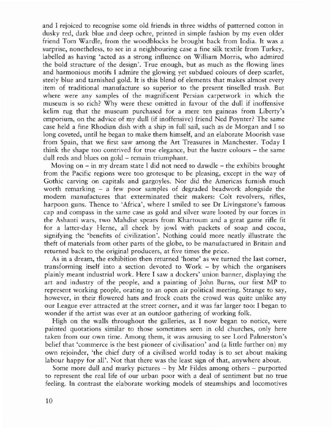and I rejoiced to recognise some old friends in three widths of patterned cotton in dusky red, dark blue and deep ochre, printed in simple fashion by my even older friend Tom Wardle, from the woodblocks he brought back from India. It was a surprise, nonetheless, to see in a neighbouring case a fine silk textile from Turkey, labelled as having 'acted as a strong influence on William Morris, who admired the bold structure of the design'. True enough, but as much as the flowing lines and harmonious motifs I admire the glowing yet subdued colours of deep scarlet, steely blue and tarnished gold. It is this blend of elements that makes almost every item of traditional manufacture so superior to the present tinselled rrash. But where were any samples of the magnificent Persian carpetwork in which the museum is so rich? Why were these omitted in favour of the dull if inoffensive kelim rug that the museum purchased for a mere ten guineas from Liberty's emporium, on the advice of my dull (if inoffensive) friend Ned Poymer? The same case held a fine Rhodian dish with a ship in full sail, such as de Morgan and I so long coveted, until he began to make them himself, and an elaborate Moorish vase from Spain, that we first saw among the Art Treasures in Manchester. Today I think the shape too contrived for true elegance, but the lustre colours - the same dull reds and blues on gold - remain triumphant.

Moving on  $-$  in my dream state I did not need to dawdle  $-$  the exhibits brought from the Pacific regions were too grotesque to be pleasing, except in the way of Gothic carving on capitals and gargoyles. Nor did the Americas furnish much worth remarking - a few poor samples of degraded beadwork alongside the modern manufactures that exterminated their makers: Colt revolvers, rifles, harpoon guns. Thence to 'Africa', where I smiled to see Dr Livingstone's famous cap and compass in the same case as gold and silver ware looted by our forces in the Ashanri wars, two Mahdist spears from Khartoum and a great game rifle fit for a latter-day Herne, all cheek by jowl with packets of soap and cocoa, signifying the 'benefits of civilization'. Nothing could more neatly illustrate the theft of materials from other parrs of the globe, to be manufactured in Britain and returned back to the original producers, at five times the price.

As in a dream, the exhibition then returned 'home' as we turned the last corner, transforming itself into a section devoted to Work - by which the organisers plainly meant industrial work. Here I saw a dockers' union banner, displaying the art and industry of the people, and a painting of John Burns, our first MP to represent working people, orating to an open air political meeting. Strange to say, however, in their flowered hats and frock coats the crowd was quite unlike any our League ever attracted at the street corner, and it was far larger roo: I began to wonder if the artist was ever at an outdoor gathering of working folk.

High on the walls throughout the galleries, as I now began to notice, were painted quotations similar to those sometimes seen in old churches, only here taken from our own time. Among them, it was amusing to see Lord Palmerston's belief that 'commerce is the best pioneer of civilisation' and (a little further on) my own rejoinder, 'the chief duty of a civilised world today is to set about making labour happy for all'. Not that there was the least sign of that, anywhere about.

Some more dull and murky pictures - by Mr Fildes among others - purported to represent the real life of our urban poor with a deal of sentiment but no true feeling. In contrast thc elaboratc working models of steamships and locomotives